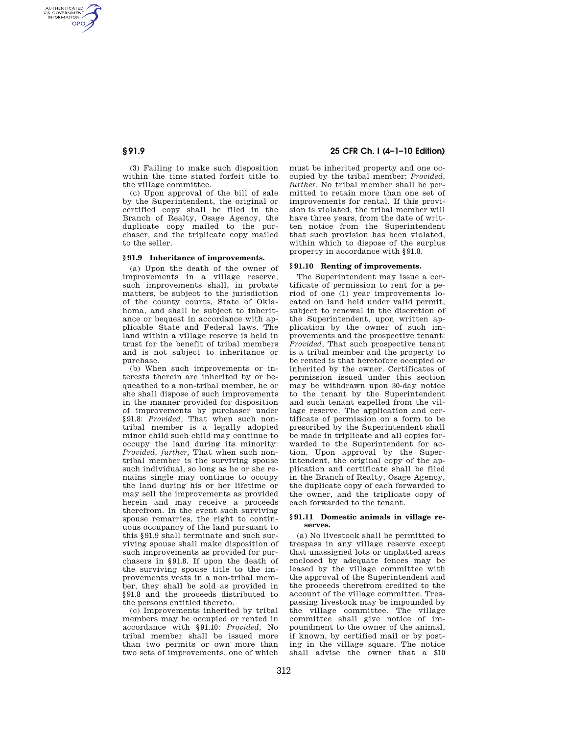AUTHENTICATED<br>U.S. GOVERNMENT<br>INFORMATION **GPO** 

> (3) Failing to make such disposition within the time stated forfeit title to the village committee.

> (c) Upon approval of the bill of sale by the Superintendent, the original or certified copy shall be filed in the Branch of Realty, Osage Agency, the duplicate copy mailed to the purchaser, and the triplicate copy mailed to the seller.

# **§ 91.9 Inheritance of improvements.**

(a) Upon the death of the owner of improvements in a village reserve, such improvements shall, in probate matters, be subject to the jurisdiction of the county courts, State of Oklahoma, and shall be subject to inheritance or bequest in accordance with applicable State and Federal laws. The land within a village reserve is held in trust for the benefit of tribal members and is not subject to inheritance or purchase.

(b) When such improvements or interests therein are inherited by or bequeathed to a non-tribal member, he or she shall dispose of such improvements in the manner provided for disposition of improvements by purchaser under §91.8: *Provided,* That when such nontribal member is a legally adopted minor child such child may continue to occupy the land during its minority: *Provided, further,* That when such nontribal member is the surviving spouse such individual, so long as he or she remains single may continue to occupy the land during his or her lifetime or may sell the improvements as provided herein and may receive a proceeds therefrom. In the event such surviving spouse remarries, the right to continuous occupancy of the land pursuant to this §91.9 shall terminate and such surviving spouse shall make disposition of such improvements as provided for purchasers in §91.8. If upon the death of the surviving spouse title to the improvements vests in a non-tribal member, they shall be sold as provided in §91.8 and the proceeds distributed to the persons entitled thereto.

(c) Improvements inherited by tribal members may be occupied or rented in accordance with §91.10: *Provided,* No tribal member shall be issued more than two permits or own more than two sets of improvements, one of which

**§ 91.9 25 CFR Ch. I (4–1–10 Edition)** 

must be inherited property and one occupied by the tribal member: *Provided, further,* No tribal member shall be permitted to retain more than one set of improvements for rental. If this provision is violated, the tribal member will have three years, from the date of written notice from the Superintendent that such provision has been violated, within which to dispose of the surplus property in accordance with §91.8.

## **§ 91.10 Renting of improvements.**

The Superintendent may issue a certificate of permission to rent for a period of one (1) year improvements located on land held under valid permit, subject to renewal in the discretion of the Superintendent, upon written application by the owner of such improvements and the prospective tenant: *Provided,* That such prospective tenant is a tribal member and the property to be rented is that heretofore occupied or inherited by the owner. Certificates of permission issued under this section may be withdrawn upon 30-day notice to the tenant by the Superintendent and such tenant expelled from the village reserve. The application and certificate of permission on a form to be prescribed by the Superintendent shall be made in triplicate and all copies forwarded to the Superintendent for action. Upon approval by the Superintendent, the original copy of the application and certificate shall be filed in the Branch of Realty, Osage Agency, the duplicate copy of each forwarded to the owner, and the triplicate copy of each forwarded to the tenant.

## **§ 91.11 Domestic animals in village reserves.**

(a) No livestock shall be permitted to trespass in any village reserve except that unassigned lots or unplatted areas enclosed by adequate fences may be leased by the village committee with the approval of the Superintendent and the proceeds therefrom credited to the account of the village committee. Trespassing livestock may be impounded by the village committee. The village committee shall give notice of impoundment to the owner of the animal, if known, by certified mail or by posting in the village square. The notice shall advise the owner that a \$10